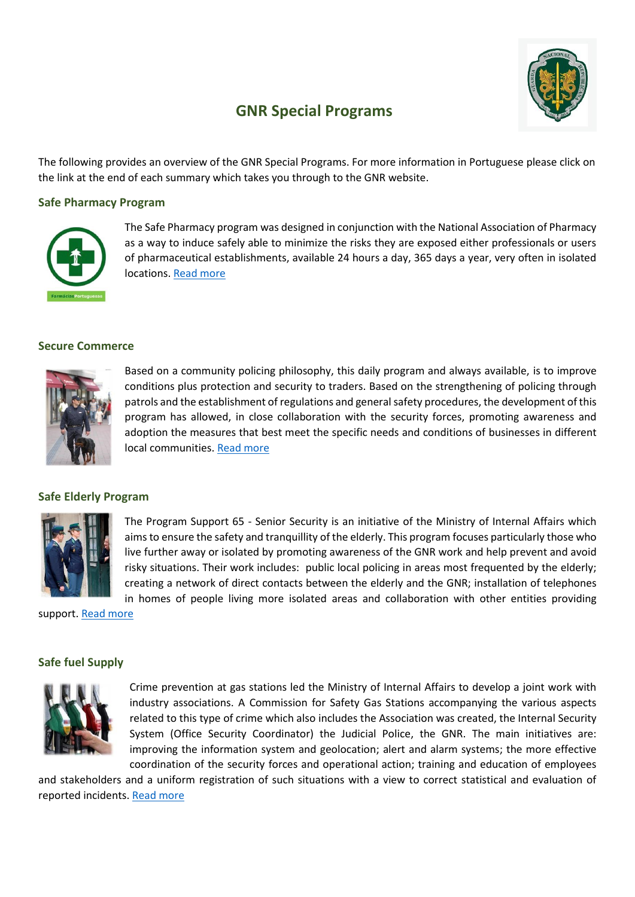

# **GNR Special Programs**

The following provides an overview of the GNR Special Programs. For more information in Portuguese please click on the link at the end of each summary which takes you through to the GNR website.

## **Safe Pharmacy Program**



The Safe Pharmacy program was designed in conjunction with the National Association of Pharmacy as a way to induce safely able to minimize the risks they are exposed either professionals or users of pharmaceutical establishments, available 24 hours a day, 365 days a year, very often in isolated locations. [Read more](http://www.gnr.pt/default.asp?do=241t4nzn5_r52rpvnv5/sn4znpvn_5rt74n)

# **Secure Commerce**



Based on a community policing philosophy, this daily program and always available, is to improve conditions plus protection and security to traders. Based on the strengthening of policing through patrols and the establishment of regulations and general safety procedures, the development of this program has allowed, in close collaboration with the security forces, promoting awareness and adoption the measures that best meet the specific needs and conditions of businesses in different local communities[. Read more](http://www.gnr.pt/default.asp?do=241t4nzn5_r52rpvnv5/p1zr4pv1_5rt741)

## **Safe Elderly Program**



The Program Support 65 - Senior Security is an initiative of the Ministry of Internal Affairs which aims to ensure the safety and tranquillity of the elderly. This program focuses particularly those who live further away or isolated by promoting awareness of the GNR work and help prevent and avoid risky situations. Their work includes: public local policing in areas most frequented by the elderly; creating a network of direct contacts between the elderly and the GNR; installation of telephones in homes of people living more isolated areas and collaboration with other entities providing

support. [Read more](http://www.gnr.pt/default.asp?do=241t4nzn5_r52rpvnv5/vq1515_5rt74n0pn)

## **Safe fuel Supply**



Crime prevention at gas stations led the Ministry of Internal Affairs to develop a joint work with industry associations. A Commission for Safety Gas Stations accompanying the various aspects related to this type of crime which also includes the Association was created, the Internal Security System (Office Security Coordinator) the Judicial Police, the GNR. The main initiatives are: improving the information system and geolocation; alert and alarm systems; the more effective coordination of the security forces and operational action; training and education of employees

and stakeholders and a uniform registration of such situations with a view to correct statistical and evaluation of reported incidents. [Read more](http://www.gnr.pt/default.asp?do=241t4nzn5_r52rpvnv5/vq1515_5rt74n0pn)